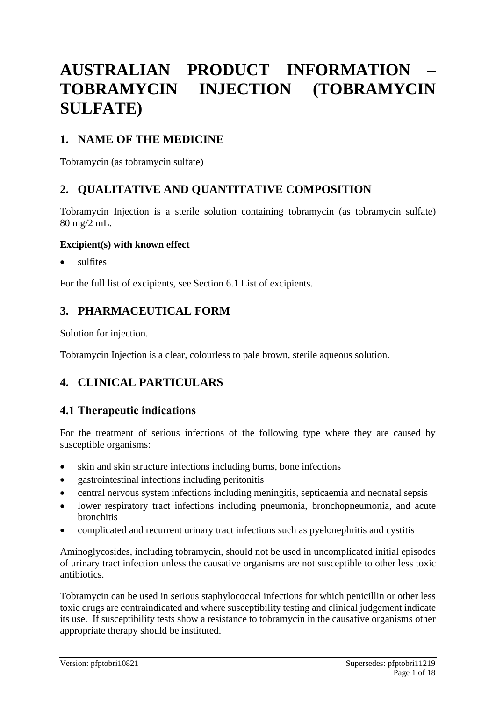# **AUSTRALIAN PRODUCT INFORMATION – TOBRAMYCIN INJECTION (TOBRAMYCIN SULFATE)**

## **1. NAME OF THE MEDICINE**

Tobramycin (as tobramycin sulfate)

## **2. QUALITATIVE AND QUANTITATIVE COMPOSITION**

Tobramycin Injection is a sterile solution containing tobramycin (as tobramycin sulfate) 80 mg/2 mL.

### **Excipient(s) with known effect**

• sulfites

For the full list of excipients, see Section 6.1 List of excipients.

## **3. PHARMACEUTICAL FORM**

Solution for injection.

Tobramycin Injection is a clear, colourless to pale brown, sterile aqueous solution.

## **4. CLINICAL PARTICULARS**

## **4.1 Therapeutic indications**

For the treatment of serious infections of the following type where they are caused by susceptible organisms:

- skin and skin structure infections including burns, bone infections
- gastrointestinal infections including peritonitis
- central nervous system infections including meningitis, septicaemia and neonatal sepsis
- lower respiratory tract infections including pneumonia, bronchopneumonia, and acute bronchitis
- complicated and recurrent urinary tract infections such as pyelonephritis and cystitis

Aminoglycosides, including tobramycin, should not be used in uncomplicated initial episodes of urinary tract infection unless the causative organisms are not susceptible to other less toxic antibiotics.

Tobramycin can be used in serious staphylococcal infections for which penicillin or other less toxic drugs are contraindicated and where susceptibility testing and clinical judgement indicate its use. If susceptibility tests show a resistance to tobramycin in the causative organisms other appropriate therapy should be instituted.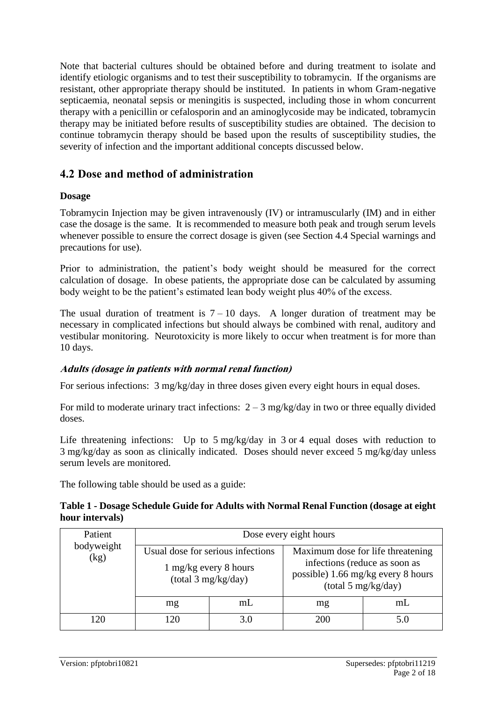Note that bacterial cultures should be obtained before and during treatment to isolate and identify etiologic organisms and to test their susceptibility to tobramycin. If the organisms are resistant, other appropriate therapy should be instituted. In patients in whom Gram-negative septicaemia, neonatal sepsis or meningitis is suspected, including those in whom concurrent therapy with a penicillin or cefalosporin and an aminoglycoside may be indicated, tobramycin therapy may be initiated before results of susceptibility studies are obtained. The decision to continue tobramycin therapy should be based upon the results of susceptibility studies, the severity of infection and the important additional concepts discussed below.

## **4.2 Dose and method of administration**

### **Dosage**

Tobramycin Injection may be given intravenously (IV) or intramuscularly (IM) and in either case the dosage is the same. It is recommended to measure both peak and trough serum levels whenever possible to ensure the correct dosage is given (see Section 4.4 Special warnings and precautions for use).

Prior to administration, the patient's body weight should be measured for the correct calculation of dosage. In obese patients, the appropriate dose can be calculated by assuming body weight to be the patient's estimated lean body weight plus 40% of the excess.

The usual duration of treatment is  $7 - 10$  days. A longer duration of treatment may be necessary in complicated infections but should always be combined with renal, auditory and vestibular monitoring. Neurotoxicity is more likely to occur when treatment is for more than 10 days.

### **Adults (dosage in patients with normal renal function)**

For serious infections: 3 mg/kg/day in three doses given every eight hours in equal doses.

For mild to moderate urinary tract infections:  $2 - 3$  mg/kg/day in two or three equally divided doses.

Life threatening infections: Up to 5 mg/kg/day in 3 or 4 equal doses with reduction to 3 mg/kg/day as soon as clinically indicated. Doses should never exceed 5 mg/kg/day unless serum levels are monitored.

The following table should be used as a guide:

#### **Table 1 - Dosage Schedule Guide for Adults with Normal Renal Function (dosage at eight hour intervals)**

| Patient<br>bodyweight<br>(kg) | Dose every eight hours                                                            |     |                                                                                                                                 |    |
|-------------------------------|-----------------------------------------------------------------------------------|-----|---------------------------------------------------------------------------------------------------------------------------------|----|
|                               | Usual dose for serious infections<br>1 mg/kg every 8 hours<br>(total 3 mg/kg/day) |     | Maximum dose for life threatening<br>infections (reduce as soon as<br>possible) 1.66 mg/kg every 8 hours<br>(total 5 mg/kg/day) |    |
|                               | mg                                                                                | mL  | mg                                                                                                                              | mL |
| 120                           | 120                                                                               | 3 0 | 200                                                                                                                             |    |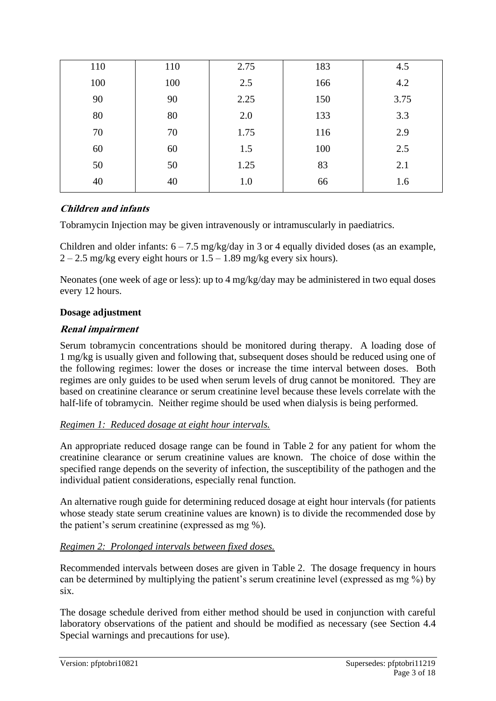| 110 | 110 | 2.75 | 183 | 4.5  |
|-----|-----|------|-----|------|
| 100 | 100 | 2.5  | 166 | 4.2  |
| 90  | 90  | 2.25 | 150 | 3.75 |
| 80  | 80  | 2.0  | 133 | 3.3  |
| 70  | 70  | 1.75 | 116 | 2.9  |
| 60  | 60  | 1.5  | 100 | 2.5  |
| 50  | 50  | 1.25 | 83  | 2.1  |
| 40  | 40  | 1.0  | 66  | 1.6  |

### **Children and infants**

Tobramycin Injection may be given intravenously or intramuscularly in paediatrics.

Children and older infants:  $6 - 7.5$  mg/kg/day in 3 or 4 equally divided doses (as an example,  $2 - 2.5$  mg/kg every eight hours or  $1.5 - 1.89$  mg/kg every six hours).

Neonates (one week of age or less): up to 4 mg/kg/day may be administered in two equal doses every 12 hours.

#### **Dosage adjustment**

#### **Renal impairment**

Serum tobramycin concentrations should be monitored during therapy. A loading dose of 1 mg/kg is usually given and following that, subsequent doses should be reduced using one of the following regimes: lower the doses or increase the time interval between doses. Both regimes are only guides to be used when serum levels of drug cannot be monitored. They are based on creatinine clearance or serum creatinine level because these levels correlate with the half-life of tobramycin. Neither regime should be used when dialysis is being performed.

#### *Regimen 1: Reduced dosage at eight hour intervals.*

An appropriate reduced dosage range can be found in Table 2 for any patient for whom the creatinine clearance or serum creatinine values are known. The choice of dose within the specified range depends on the severity of infection, the susceptibility of the pathogen and the individual patient considerations, especially renal function.

An alternative rough guide for determining reduced dosage at eight hour intervals (for patients whose steady state serum creatinine values are known) is to divide the recommended dose by the patient's serum creatinine (expressed as mg %).

#### *Regimen 2: Prolonged intervals between fixed doses.*

Recommended intervals between doses are given in Table 2. The dosage frequency in hours can be determined by multiplying the patient's serum creatinine level (expressed as mg %) by six.

The dosage schedule derived from either method should be used in conjunction with careful laboratory observations of the patient and should be modified as necessary (see Section 4.4 Special warnings and precautions for use).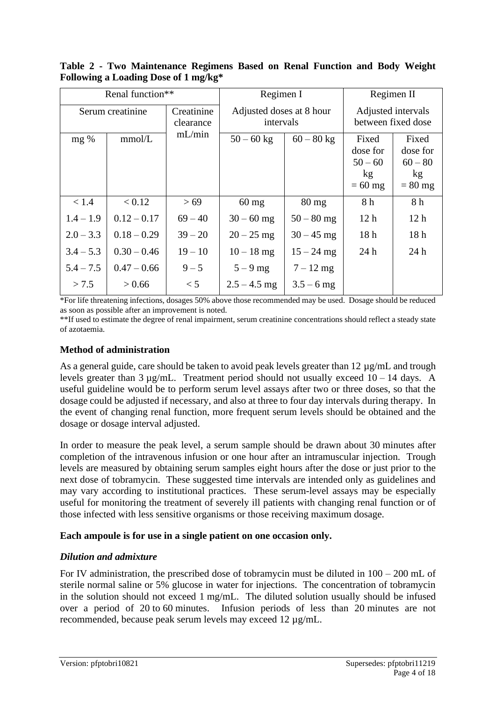**Table 2 - Two Maintenance Regimens Based on Renal Function and Body Weight Following a Loading Dose of 1 mg/kg\***

| Renal function** |               | Regimen I               |                                       | Regimen II      |                                          |                 |
|------------------|---------------|-------------------------|---------------------------------------|-----------------|------------------------------------------|-----------------|
| Serum creatinine |               | Creatinine<br>clearance | Adjusted doses at 8 hour<br>intervals |                 | Adjusted intervals<br>between fixed dose |                 |
| mg %             | mmol/L        | mL/min                  | $50 - 60$ kg                          | $60 - 80$ kg    | Fixed                                    | Fixed           |
|                  |               |                         |                                       |                 | dose for                                 | dose for        |
|                  |               |                         |                                       |                 | $50 - 60$                                | $60 - 80$       |
|                  |               |                         |                                       |                 | kg                                       | kg              |
|                  |               |                         |                                       |                 | $= 60$ mg                                | $= 80$ mg       |
| < 1.4            | < 0.12        | > 69                    | $60$ mg                               | $80 \text{ mg}$ | 8 h                                      | 8h              |
| $1.4 - 1.9$      | $0.12 - 0.17$ | $69 - 40$               | $30 - 60$ mg                          | $50 - 80$ mg    | 12 <sub>h</sub>                          | 12 <sub>h</sub> |
| $2.0 - 3.3$      | $0.18 - 0.29$ | $39 - 20$               | $20 - 25$ mg                          | $30 - 45$ mg    | 18 <sub>h</sub>                          | 18 <sub>h</sub> |
| $3.4 - 5.3$      | $0.30 - 0.46$ | $19 - 10$               | $10 - 18$ mg                          | $15 - 24$ mg    | 24h                                      | 24h             |
| $5.4 - 7.5$      | $0.47 - 0.66$ | $9 - 5$                 | $5-9$ mg                              | $7 - 12$ mg     |                                          |                 |
| > 7.5            | > 0.66        | < 5                     | $2.5 - 4.5$ mg                        | $3.5 - 6$ mg    |                                          |                 |

\*For life threatening infections, dosages 50% above those recommended may be used. Dosage should be reduced as soon as possible after an improvement is noted.

\*\*If used to estimate the degree of renal impairment, serum creatinine concentrations should reflect a steady state of azotaemia.

#### **Method of administration**

As a general guide, care should be taken to avoid peak levels greater than 12  $\mu$ g/mL and trough levels greater than  $3 \mu$ g/mL. Treatment period should not usually exceed  $10 - 14$  days. A useful guideline would be to perform serum level assays after two or three doses, so that the dosage could be adjusted if necessary, and also at three to four day intervals during therapy. In the event of changing renal function, more frequent serum levels should be obtained and the dosage or dosage interval adjusted.

In order to measure the peak level, a serum sample should be drawn about 30 minutes after completion of the intravenous infusion or one hour after an intramuscular injection. Trough levels are measured by obtaining serum samples eight hours after the dose or just prior to the next dose of tobramycin. These suggested time intervals are intended only as guidelines and may vary according to institutional practices. These serum-level assays may be especially useful for monitoring the treatment of severely ill patients with changing renal function or of those infected with less sensitive organisms or those receiving maximum dosage.

#### **Each ampoule is for use in a single patient on one occasion only.**

### *Dilution and admixture*

For IV administration, the prescribed dose of tobramycin must be diluted in 100 – 200 mL of sterile normal saline or 5% glucose in water for injections. The concentration of tobramycin in the solution should not exceed 1 mg/mL. The diluted solution usually should be infused over a period of 20 to 60 minutes. Infusion periods of less than 20 minutes are not recommended, because peak serum levels may exceed 12 µg/mL.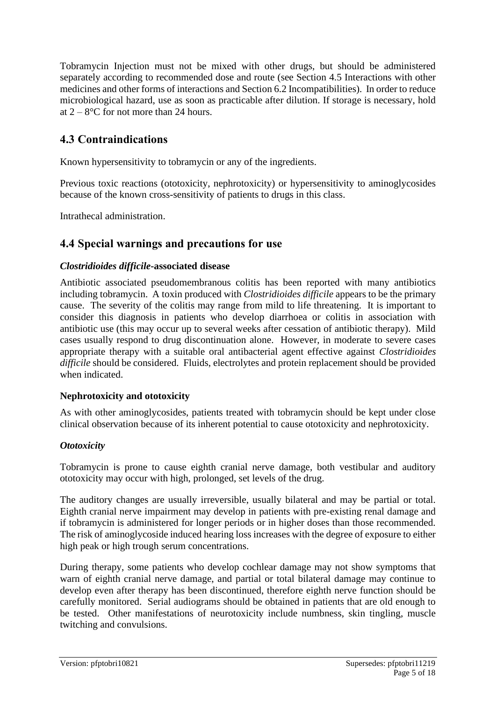Tobramycin Injection must not be mixed with other drugs, but should be administered separately according to recommended dose and route (see Section 4.5 Interactions with other medicines and other forms of interactions and Section 6.2 Incompatibilities). In order to reduce microbiological hazard, use as soon as practicable after dilution. If storage is necessary, hold at  $2 - 8$ °C for not more than 24 hours.

## **4.3 Contraindications**

Known hypersensitivity to tobramycin or any of the ingredients.

Previous toxic reactions (ototoxicity, nephrotoxicity) or hypersensitivity to aminoglycosides because of the known cross-sensitivity of patients to drugs in this class.

Intrathecal administration.

## **4.4 Special warnings and precautions for use**

### *Clostridioides difficile***-associated disease**

Antibiotic associated pseudomembranous colitis has been reported with many antibiotics including tobramycin. A toxin produced with *Clostridioides difficile* appears to be the primary cause. The severity of the colitis may range from mild to life threatening. It is important to consider this diagnosis in patients who develop diarrhoea or colitis in association with antibiotic use (this may occur up to several weeks after cessation of antibiotic therapy). Mild cases usually respond to drug discontinuation alone. However, in moderate to severe cases appropriate therapy with a suitable oral antibacterial agent effective against *Clostridioides difficile* should be considered. Fluids, electrolytes and protein replacement should be provided when indicated.

### **Nephrotoxicity and ototoxicity**

As with other aminoglycosides, patients treated with tobramycin should be kept under close clinical observation because of its inherent potential to cause ototoxicity and nephrotoxicity.

### *Ototoxicity*

Tobramycin is prone to cause eighth cranial nerve damage, both vestibular and auditory ototoxicity may occur with high, prolonged, set levels of the drug.

The auditory changes are usually irreversible, usually bilateral and may be partial or total. Eighth cranial nerve impairment may develop in patients with pre-existing renal damage and if tobramycin is administered for longer periods or in higher doses than those recommended. The risk of aminoglycoside induced hearing loss increases with the degree of exposure to either high peak or high trough serum concentrations.

During therapy, some patients who develop cochlear damage may not show symptoms that warn of eighth cranial nerve damage, and partial or total bilateral damage may continue to develop even after therapy has been discontinued, therefore eighth nerve function should be carefully monitored. Serial audiograms should be obtained in patients that are old enough to be tested. Other manifestations of neurotoxicity include numbness, skin tingling, muscle twitching and convulsions.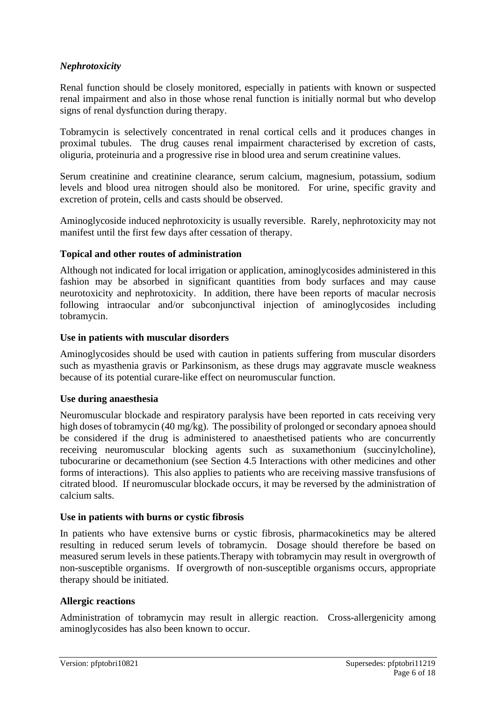### *Nephrotoxicity*

Renal function should be closely monitored, especially in patients with known or suspected renal impairment and also in those whose renal function is initially normal but who develop signs of renal dysfunction during therapy.

Tobramycin is selectively concentrated in renal cortical cells and it produces changes in proximal tubules. The drug causes renal impairment characterised by excretion of casts, oliguria, proteinuria and a progressive rise in blood urea and serum creatinine values.

Serum creatinine and creatinine clearance, serum calcium, magnesium, potassium, sodium levels and blood urea nitrogen should also be monitored. For urine, specific gravity and excretion of protein, cells and casts should be observed.

Aminoglycoside induced nephrotoxicity is usually reversible. Rarely, nephrotoxicity may not manifest until the first few days after cessation of therapy.

#### **Topical and other routes of administration**

Although not indicated for local irrigation or application, aminoglycosides administered in this fashion may be absorbed in significant quantities from body surfaces and may cause neurotoxicity and nephrotoxicity. In addition, there have been reports of macular necrosis following intraocular and/or subconjunctival injection of aminoglycosides including tobramycin.

#### **Use in patients with muscular disorders**

Aminoglycosides should be used with caution in patients suffering from muscular disorders such as myasthenia gravis or Parkinsonism, as these drugs may aggravate muscle weakness because of its potential curare-like effect on neuromuscular function.

#### **Use during anaesthesia**

Neuromuscular blockade and respiratory paralysis have been reported in cats receiving very high doses of tobramycin (40 mg/kg). The possibility of prolonged or secondary apnoea should be considered if the drug is administered to anaesthetised patients who are concurrently receiving neuromuscular blocking agents such as suxamethonium (succinylcholine), tubocurarine or decamethonium (see Section 4.5 Interactions with other medicines and other forms of interactions). This also applies to patients who are receiving massive transfusions of citrated blood. If neuromuscular blockade occurs, it may be reversed by the administration of calcium salts.

#### **Use in patients with burns or cystic fibrosis**

In patients who have extensive burns or cystic fibrosis, pharmacokinetics may be altered resulting in reduced serum levels of tobramycin. Dosage should therefore be based on measured serum levels in these patients.Therapy with tobramycin may result in overgrowth of non-susceptible organisms. If overgrowth of non-susceptible organisms occurs, appropriate therapy should be initiated.

#### **Allergic reactions**

Administration of tobramycin may result in allergic reaction. Cross-allergenicity among aminoglycosides has also been known to occur.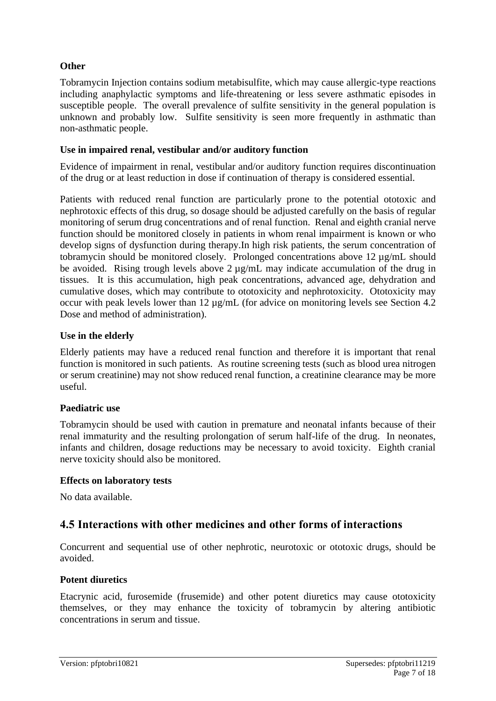### **Other**

Tobramycin Injection contains sodium metabisulfite, which may cause allergic-type reactions including anaphylactic symptoms and life-threatening or less severe asthmatic episodes in susceptible people. The overall prevalence of sulfite sensitivity in the general population is unknown and probably low. Sulfite sensitivity is seen more frequently in asthmatic than non-asthmatic people.

### **Use in impaired renal, vestibular and/or auditory function**

Evidence of impairment in renal, vestibular and/or auditory function requires discontinuation of the drug or at least reduction in dose if continuation of therapy is considered essential.

Patients with reduced renal function are particularly prone to the potential ototoxic and nephrotoxic effects of this drug, so dosage should be adjusted carefully on the basis of regular monitoring of serum drug concentrations and of renal function. Renal and eighth cranial nerve function should be monitored closely in patients in whom renal impairment is known or who develop signs of dysfunction during therapy.In high risk patients, the serum concentration of tobramycin should be monitored closely. Prolonged concentrations above 12 µg/mL should be avoided. Rising trough levels above 2 µg/mL may indicate accumulation of the drug in tissues. It is this accumulation, high peak concentrations, advanced age, dehydration and cumulative doses, which may contribute to ototoxicity and nephrotoxicity. Ototoxicity may occur with peak levels lower than 12 µg/mL (for advice on monitoring levels see Section 4.2 Dose and method of administration).

#### **Use in the elderly**

Elderly patients may have a reduced renal function and therefore it is important that renal function is monitored in such patients. As routine screening tests (such as blood urea nitrogen or serum creatinine) may not show reduced renal function, a creatinine clearance may be more useful.

### **Paediatric use**

Tobramycin should be used with caution in premature and neonatal infants because of their renal immaturity and the resulting prolongation of serum half-life of the drug. In neonates, infants and children, dosage reductions may be necessary to avoid toxicity. Eighth cranial nerve toxicity should also be monitored.

#### **Effects on laboratory tests**

No data available.

## **4.5 Interactions with other medicines and other forms of interactions**

Concurrent and sequential use of other nephrotic, neurotoxic or ototoxic drugs, should be avoided.

### **Potent diuretics**

Etacrynic acid, furosemide (frusemide) and other potent diuretics may cause ototoxicity themselves, or they may enhance the toxicity of tobramycin by altering antibiotic concentrations in serum and tissue.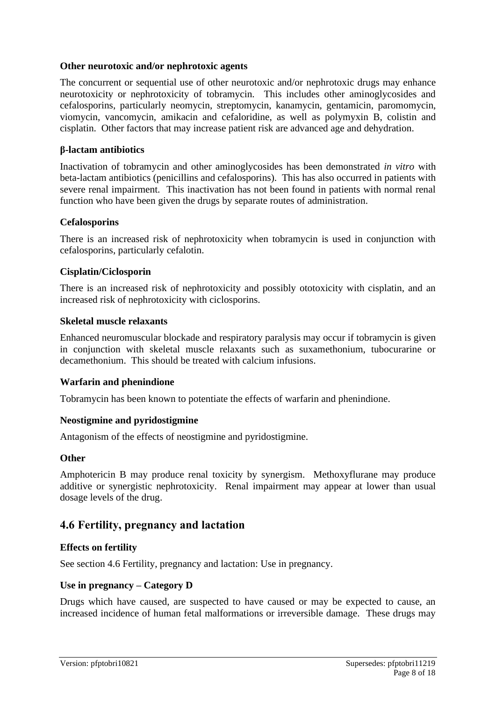#### **Other neurotoxic and/or nephrotoxic agents**

The concurrent or sequential use of other neurotoxic and/or nephrotoxic drugs may enhance neurotoxicity or nephrotoxicity of tobramycin. This includes other aminoglycosides and cefalosporins, particularly neomycin, streptomycin, kanamycin, gentamicin, paromomycin, viomycin, vancomycin, amikacin and cefaloridine, as well as polymyxin B, colistin and cisplatin. Other factors that may increase patient risk are advanced age and dehydration.

#### **β-lactam antibiotics**

Inactivation of tobramycin and other aminoglycosides has been demonstrated *in vitro* with beta-lactam antibiotics (penicillins and cefalosporins). This has also occurred in patients with severe renal impairment. This inactivation has not been found in patients with normal renal function who have been given the drugs by separate routes of administration.

#### **Cefalosporins**

There is an increased risk of nephrotoxicity when tobramycin is used in conjunction with cefalosporins, particularly cefalotin.

#### **Cisplatin/Ciclosporin**

There is an increased risk of nephrotoxicity and possibly ototoxicity with cisplatin, and an increased risk of nephrotoxicity with ciclosporins.

#### **Skeletal muscle relaxants**

Enhanced neuromuscular blockade and respiratory paralysis may occur if tobramycin is given in conjunction with skeletal muscle relaxants such as suxamethonium, tubocurarine or decamethonium. This should be treated with calcium infusions.

#### **Warfarin and phenindione**

Tobramycin has been known to potentiate the effects of warfarin and phenindione.

#### **Neostigmine and pyridostigmine**

Antagonism of the effects of neostigmine and pyridostigmine.

#### **Other**

Amphotericin B may produce renal toxicity by synergism. Methoxyflurane may produce additive or synergistic nephrotoxicity. Renal impairment may appear at lower than usual dosage levels of the drug.

### **4.6 Fertility, pregnancy and lactation**

#### **Effects on fertility**

See section 4.6 Fertility, pregnancy and lactation: Use in pregnancy.

#### **Use in pregnancy – Category D**

Drugs which have caused, are suspected to have caused or may be expected to cause, an increased incidence of human fetal malformations or irreversible damage. These drugs may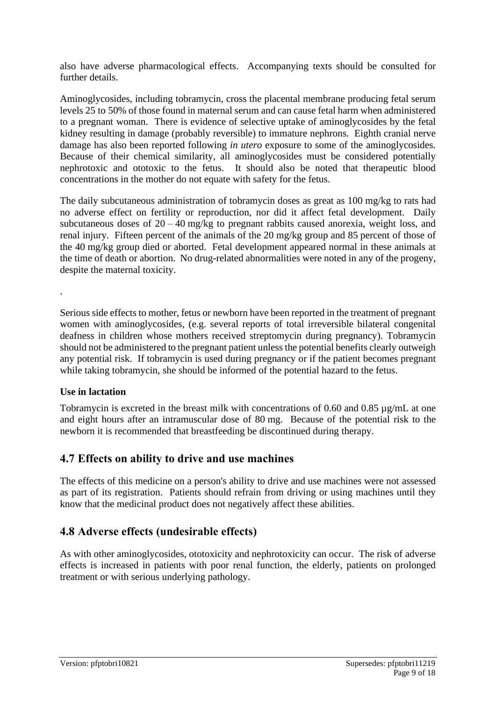also have adverse pharmacological effects. Accompanying texts should be consulted for further details.

Aminoglycosides, including tobramycin, cross the placental membrane producing fetal serum levels 25 to 50% of those found in maternal serum and can cause fetal harm when administered to a pregnant woman. There is evidence of selective uptake of aminoglycosides by the fetal kidney resulting in damage (probably reversible) to immature nephrons. Eighth cranial nerve damage has also been reported following *in utero* exposure to some of the aminoglycosides. Because of their chemical similarity, all aminoglycosides must be considered potentially nephrotoxic and ototoxic to the fetus. It should also be noted that therapeutic blood concentrations in the mother do not equate with safety for the fetus.

The daily subcutaneous administration of tobramycin doses as great as 100 mg/kg to rats had no adverse effect on fertility or reproduction, nor did it affect fetal development. Daily subcutaneous doses of  $20 - 40$  mg/kg to pregnant rabbits caused anorexia, weight loss, and renal injury. Fifteen percent of the animals of the 20 mg/kg group and 85 percent of those of the 40 mg/kg group died or aborted. Fetal development appeared normal in these animals at the time of death or abortion. No drug-related abnormalities were noted in any of the progeny, despite the maternal toxicity.

Serious side effects to mother, fetus or newborn have been reported in the treatment of pregnant women with aminoglycosides, (e.g. several reports of total irreversible bilateral congenital deafness in children whose mothers received streptomycin during pregnancy). Tobramycin should not be administered to the pregnant patient unless the potential benefits clearly outweigh any potential risk. If tobramycin is used during pregnancy or if the patient becomes pregnant while taking tobramycin, she should be informed of the potential hazard to the fetus.

### **Use in lactation**

.

Tobramycin is excreted in the breast milk with concentrations of 0.60 and 0.85 µg/mL at one and eight hours after an intramuscular dose of 80 mg. Because of the potential risk to the newborn it is recommended that breastfeeding be discontinued during therapy.

## **4.7 Effects on ability to drive and use machines**

The effects of this medicine on a person's ability to drive and use machines were not assessed as part of its registration. Patients should refrain from driving or using machines until they know that the medicinal product does not negatively affect these abilities.

## **4.8 Adverse effects (undesirable effects)**

As with other aminoglycosides, ototoxicity and nephrotoxicity can occur. The risk of adverse effects is increased in patients with poor renal function, the elderly, patients on prolonged treatment or with serious underlying pathology.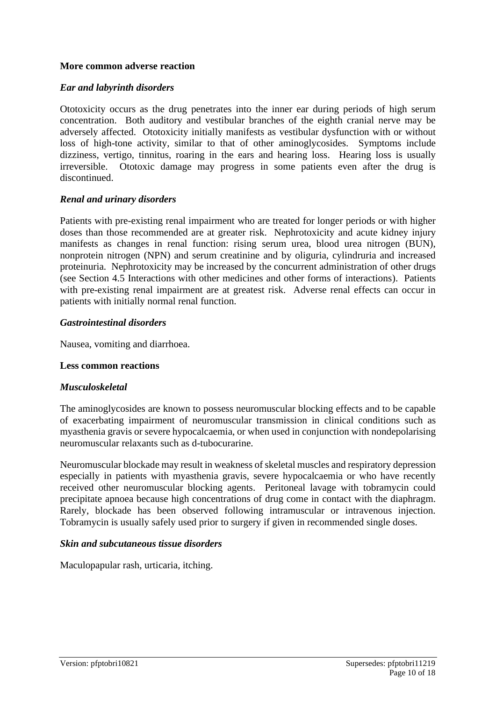#### **More common adverse reaction**

#### *Ear and labyrinth disorders*

Ototoxicity occurs as the drug penetrates into the inner ear during periods of high serum concentration. Both auditory and vestibular branches of the eighth cranial nerve may be adversely affected. Ototoxicity initially manifests as vestibular dysfunction with or without loss of high-tone activity, similar to that of other aminoglycosides. Symptoms include dizziness, vertigo, tinnitus, roaring in the ears and hearing loss. Hearing loss is usually irreversible. Ototoxic damage may progress in some patients even after the drug is discontinued.

#### *Renal and urinary disorders*

Patients with pre-existing renal impairment who are treated for longer periods or with higher doses than those recommended are at greater risk. Nephrotoxicity and acute kidney injury manifests as changes in renal function: rising serum urea, blood urea nitrogen (BUN), nonprotein nitrogen (NPN) and serum creatinine and by oliguria, cylindruria and increased proteinuria. Nephrotoxicity may be increased by the concurrent administration of other drugs (see Section 4.5 Interactions with other medicines and other forms of interactions). Patients with pre-existing renal impairment are at greatest risk. Adverse renal effects can occur in patients with initially normal renal function.

#### *Gastrointestinal disorders*

Nausea, vomiting and diarrhoea.

#### **Less common reactions**

#### *Musculoskeletal*

The aminoglycosides are known to possess neuromuscular blocking effects and to be capable of exacerbating impairment of neuromuscular transmission in clinical conditions such as myasthenia gravis or severe hypocalcaemia, or when used in conjunction with nondepolarising neuromuscular relaxants such as d-tubocurarine.

Neuromuscular blockade may result in weakness of skeletal muscles and respiratory depression especially in patients with myasthenia gravis, severe hypocalcaemia or who have recently received other neuromuscular blocking agents. Peritoneal lavage with tobramycin could precipitate apnoea because high concentrations of drug come in contact with the diaphragm. Rarely, blockade has been observed following intramuscular or intravenous injection. Tobramycin is usually safely used prior to surgery if given in recommended single doses.

#### *Skin and subcutaneous tissue disorders*

Maculopapular rash, urticaria, itching.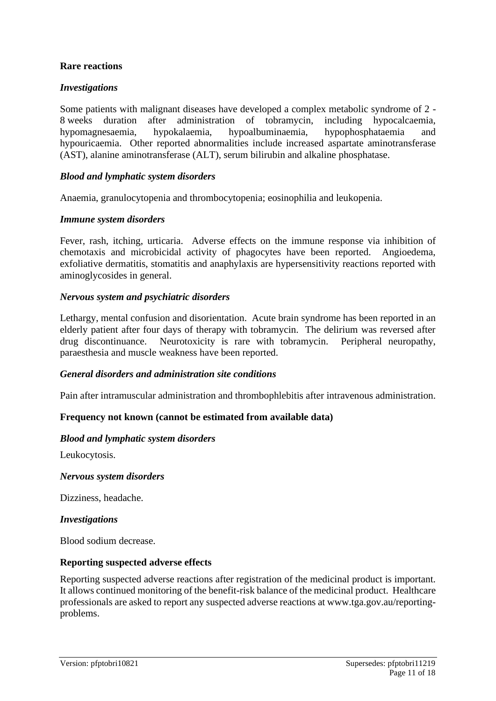### **Rare reactions**

#### *Investigations*

Some patients with malignant diseases have developed a complex metabolic syndrome of 2 - 8 weeks duration after administration of tobramycin, including hypocalcaemia, hypomagnesaemia, hypokalaemia, hypoalbuminaemia, hypophosphataemia and hypouricaemia. Other reported abnormalities include increased aspartate aminotransferase (AST), alanine aminotransferase (ALT), serum bilirubin and alkaline phosphatase.

#### *Blood and lymphatic system disorders*

Anaemia, granulocytopenia and thrombocytopenia; eosinophilia and leukopenia.

#### *Immune system disorders*

Fever, rash, itching, urticaria. Adverse effects on the immune response via inhibition of chemotaxis and microbicidal activity of phagocytes have been reported. Angioedema, exfoliative dermatitis, stomatitis and anaphylaxis are hypersensitivity reactions reported with aminoglycosides in general.

#### *Nervous system and psychiatric disorders*

Lethargy, mental confusion and disorientation. Acute brain syndrome has been reported in an elderly patient after four days of therapy with tobramycin. The delirium was reversed after drug discontinuance. Neurotoxicity is rare with tobramycin. Peripheral neuropathy, paraesthesia and muscle weakness have been reported.

#### *General disorders and administration site conditions*

Pain after intramuscular administration and thrombophlebitis after intravenous administration.

#### **Frequency not known (cannot be estimated from available data)**

#### *Blood and lymphatic system disorders*

Leukocytosis.

#### *Nervous system disorders*

Dizziness, headache.

#### *Investigations*

Blood sodium decrease.

#### **Reporting suspected adverse effects**

Reporting suspected adverse reactions after registration of the medicinal product is important. It allows continued monitoring of the benefit-risk balance of the medicinal product. Healthcare professionals are asked to report any suspected adverse reactions at www.tga.gov.au/reportingproblems.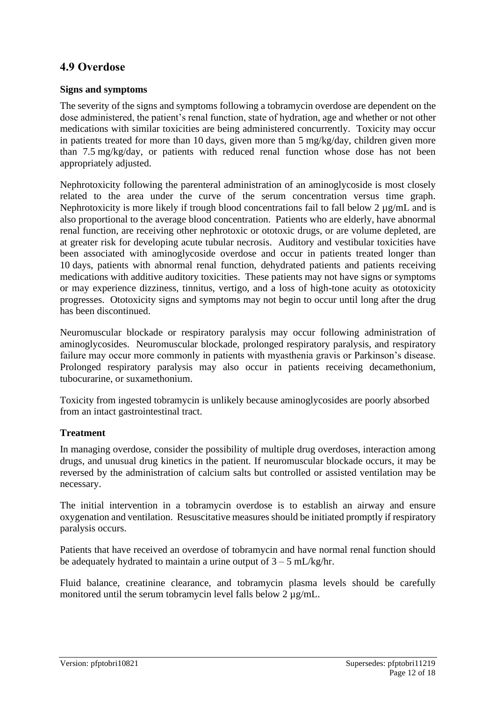## **4.9 Overdose**

#### **Signs and symptoms**

The severity of the signs and symptoms following a tobramycin overdose are dependent on the dose administered, the patient's renal function, state of hydration, age and whether or not other medications with similar toxicities are being administered concurrently. Toxicity may occur in patients treated for more than 10 days, given more than 5 mg/kg/day, children given more than 7.5 mg/kg/day, or patients with reduced renal function whose dose has not been appropriately adjusted.

Nephrotoxicity following the parenteral administration of an aminoglycoside is most closely related to the area under the curve of the serum concentration versus time graph. Nephrotoxicity is more likely if trough blood concentrations fail to fall below 2  $\mu$ g/mL and is also proportional to the average blood concentration. Patients who are elderly, have abnormal renal function, are receiving other nephrotoxic or ototoxic drugs, or are volume depleted, are at greater risk for developing acute tubular necrosis. Auditory and vestibular toxicities have been associated with aminoglycoside overdose and occur in patients treated longer than 10 days, patients with abnormal renal function, dehydrated patients and patients receiving medications with additive auditory toxicities. These patients may not have signs or symptoms or may experience dizziness, tinnitus, vertigo, and a loss of high-tone acuity as ototoxicity progresses. Ototoxicity signs and symptoms may not begin to occur until long after the drug has been discontinued.

Neuromuscular blockade or respiratory paralysis may occur following administration of aminoglycosides. Neuromuscular blockade, prolonged respiratory paralysis, and respiratory failure may occur more commonly in patients with myasthenia gravis or Parkinson's disease. Prolonged respiratory paralysis may also occur in patients receiving decamethonium, tubocurarine, or suxamethonium.

Toxicity from ingested tobramycin is unlikely because aminoglycosides are poorly absorbed from an intact gastrointestinal tract.

### **Treatment**

In managing overdose, consider the possibility of multiple drug overdoses, interaction among drugs, and unusual drug kinetics in the patient. If neuromuscular blockade occurs, it may be reversed by the administration of calcium salts but controlled or assisted ventilation may be necessary.

The initial intervention in a tobramycin overdose is to establish an airway and ensure oxygenation and ventilation. Resuscitative measures should be initiated promptly if respiratory paralysis occurs.

Patients that have received an overdose of tobramycin and have normal renal function should be adequately hydrated to maintain a urine output of  $3 - 5$  mL/kg/hr.

Fluid balance, creatinine clearance, and tobramycin plasma levels should be carefully monitored until the serum tobramycin level falls below 2  $\mu$ g/mL.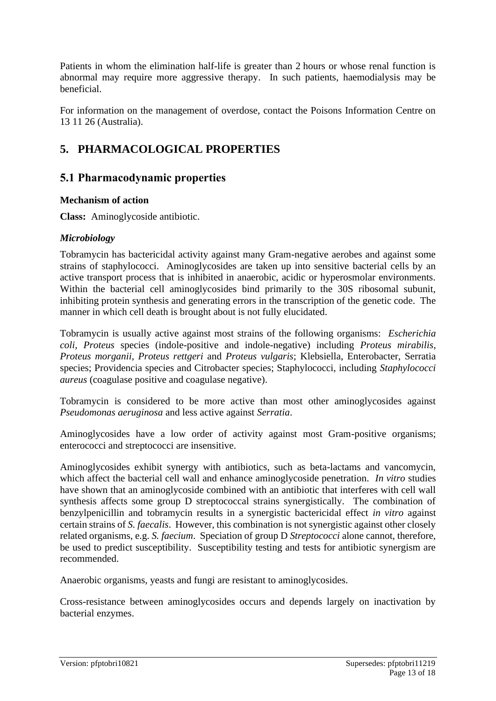Patients in whom the elimination half-life is greater than 2 hours or whose renal function is abnormal may require more aggressive therapy. In such patients, haemodialysis may be beneficial.

For information on the management of overdose, contact the Poisons Information Centre on 13 11 26 (Australia).

## **5. PHARMACOLOGICAL PROPERTIES**

## **5.1 Pharmacodynamic properties**

### **Mechanism of action**

**Class:** Aminoglycoside antibiotic.

### *Microbiology*

Tobramycin has bactericidal activity against many Gram-negative aerobes and against some strains of staphylococci. Aminoglycosides are taken up into sensitive bacterial cells by an active transport process that is inhibited in anaerobic, acidic or hyperosmolar environments. Within the bacterial cell aminoglycosides bind primarily to the 30S ribosomal subunit, inhibiting protein synthesis and generating errors in the transcription of the genetic code. The manner in which cell death is brought about is not fully elucidated.

Tobramycin is usually active against most strains of the following organisms: *Escherichia coli*, *Proteus* species (indole-positive and indole-negative) including *Proteus mirabilis*, *Proteus morganii*, *Proteus rettgeri* and *Proteus vulgaris*; Klebsiella, Enterobacter, Serratia species; Providencia species and Citrobacter species; Staphylococci, including *Staphylococci aureus* (coagulase positive and coagulase negative).

Tobramycin is considered to be more active than most other aminoglycosides against *Pseudomonas aeruginosa* and less active against *Serratia*.

Aminoglycosides have a low order of activity against most Gram-positive organisms; enterococci and streptococci are insensitive.

Aminoglycosides exhibit synergy with antibiotics, such as beta-lactams and vancomycin, which affect the bacterial cell wall and enhance aminoglycoside penetration. *In vitro* studies have shown that an aminoglycoside combined with an antibiotic that interferes with cell wall synthesis affects some group D streptococcal strains synergistically. The combination of benzylpenicillin and tobramycin results in a synergistic bactericidal effect *in vitro* against certain strains of *S. faecalis*. However, this combination is not synergistic against other closely related organisms, e.g. *S. faecium*. Speciation of group D *Streptococci* alone cannot, therefore, be used to predict susceptibility. Susceptibility testing and tests for antibiotic synergism are recommended.

Anaerobic organisms, yeasts and fungi are resistant to aminoglycosides.

Cross-resistance between aminoglycosides occurs and depends largely on inactivation by bacterial enzymes.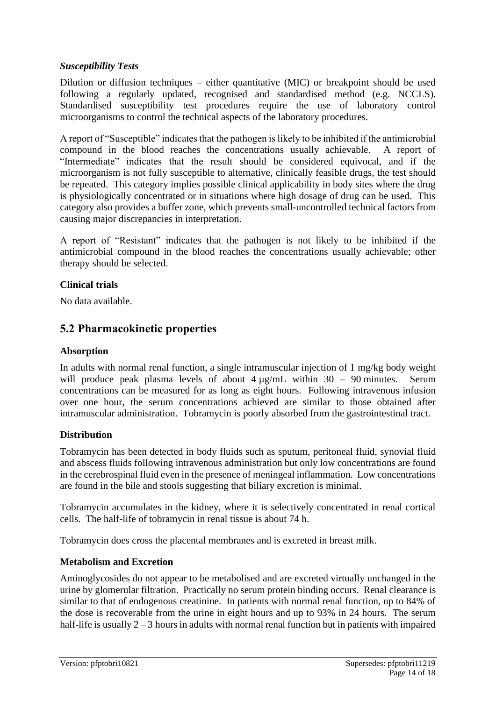### *Susceptibility Tests*

Dilution or diffusion techniques – either quantitative (MIC) or breakpoint should be used following a regularly updated, recognised and standardised method (e.g. NCCLS). Standardised susceptibility test procedures require the use of laboratory control microorganisms to control the technical aspects of the laboratory procedures.

A report of "Susceptible" indicates that the pathogen is likely to be inhibited if the antimicrobial compound in the blood reaches the concentrations usually achievable. A report of "Intermediate" indicates that the result should be considered equivocal, and if the microorganism is not fully susceptible to alternative, clinically feasible drugs, the test should be repeated. This category implies possible clinical applicability in body sites where the drug is physiologically concentrated or in situations where high dosage of drug can be used. This category also provides a buffer zone, which prevents small-uncontrolled technical factors from causing major discrepancies in interpretation.

A report of "Resistant" indicates that the pathogen is not likely to be inhibited if the antimicrobial compound in the blood reaches the concentrations usually achievable; other therapy should be selected.

#### **Clinical trials**

No data available.

## **5.2 Pharmacokinetic properties**

#### **Absorption**

In adults with normal renal function, a single intramuscular injection of 1 mg/kg body weight will produce peak plasma levels of about  $4 \mu$ g/mL within 30 – 90 minutes. Serum concentrations can be measured for as long as eight hours. Following intravenous infusion over one hour, the serum concentrations achieved are similar to those obtained after intramuscular administration. Tobramycin is poorly absorbed from the gastrointestinal tract.

#### **Distribution**

Tobramycin has been detected in body fluids such as sputum, peritoneal fluid, synovial fluid and abscess fluids following intravenous administration but only low concentrations are found in the cerebrospinal fluid even in the presence of meningeal inflammation. Low concentrations are found in the bile and stools suggesting that biliary excretion is minimal.

Tobramycin accumulates in the kidney, where it is selectively concentrated in renal cortical cells. The half-life of tobramycin in renal tissue is about 74 h.

Tobramycin does cross the placental membranes and is excreted in breast milk.

#### **Metabolism and Excretion**

Aminoglycosides do not appear to be metabolised and are excreted virtually unchanged in the urine by glomerular filtration. Practically no serum protein binding occurs. Renal clearance is similar to that of endogenous creatinine. In patients with normal renal function, up to 84% of the dose is recoverable from the urine in eight hours and up to 93% in 24 hours. The serum half-life is usually 2 – 3 hours in adults with normal renal function but in patients with impaired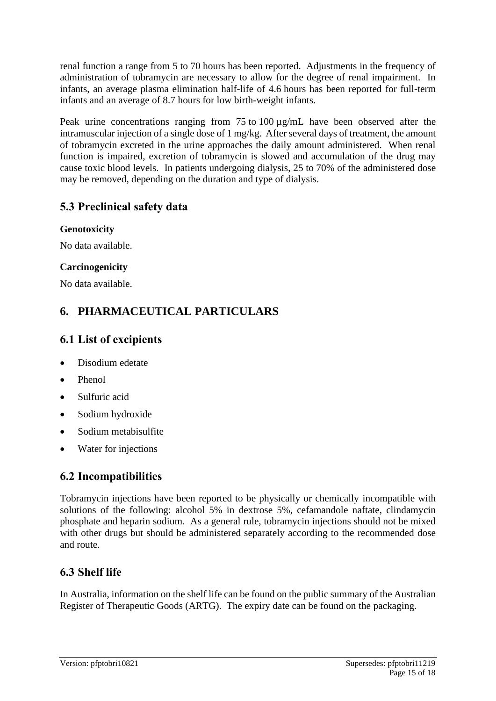renal function a range from 5 to 70 hours has been reported. Adjustments in the frequency of administration of tobramycin are necessary to allow for the degree of renal impairment. In infants, an average plasma elimination half-life of 4.6 hours has been reported for full-term infants and an average of 8.7 hours for low birth-weight infants.

Peak urine concentrations ranging from 75 to 100  $\mu$ g/mL have been observed after the intramuscular injection of a single dose of 1 mg/kg. After several days of treatment, the amount of tobramycin excreted in the urine approaches the daily amount administered. When renal function is impaired, excretion of tobramycin is slowed and accumulation of the drug may cause toxic blood levels. In patients undergoing dialysis, 25 to 70% of the administered dose may be removed, depending on the duration and type of dialysis.

## **5.3 Preclinical safety data**

### **Genotoxicity**

No data available.

### **Carcinogenicity**

No data available.

## **6. PHARMACEUTICAL PARTICULARS**

## **6.1 List of excipients**

- Disodium edetate
- Phenol
- Sulfuric acid
- Sodium hydroxide
- Sodium metabisulfite
- Water for injections

## **6.2 Incompatibilities**

Tobramycin injections have been reported to be physically or chemically incompatible with solutions of the following: alcohol 5% in dextrose 5%, cefamandole naftate, clindamycin phosphate and heparin sodium. As a general rule, tobramycin injections should not be mixed with other drugs but should be administered separately according to the recommended dose and route.

## **6.3 Shelf life**

In Australia, information on the shelf life can be found on the public summary of the Australian Register of Therapeutic Goods (ARTG). The expiry date can be found on the packaging.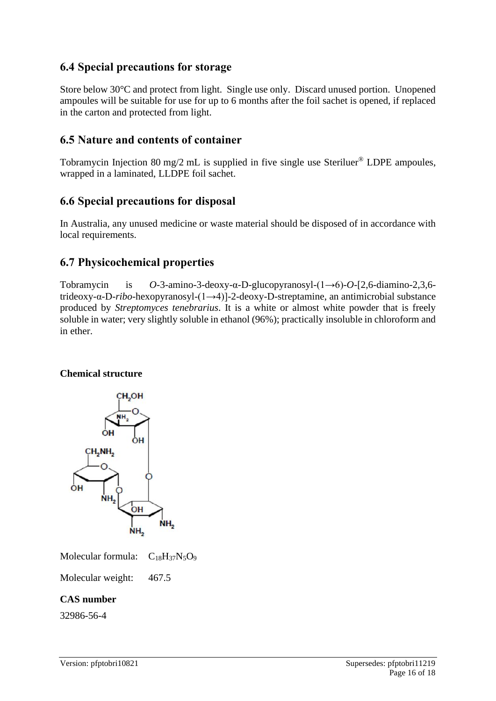## **6.4 Special precautions for storage**

Store below 30°C and protect from light. Single use only. Discard unused portion. Unopened ampoules will be suitable for use for up to 6 months after the foil sachet is opened, if replaced in the carton and protected from light.

## **6.5 Nature and contents of container**

Tobramycin Injection 80 mg/2 mL is supplied in five single use Steriluer® LDPE ampoules, wrapped in a laminated, LLDPE foil sachet.

## **6.6 Special precautions for disposal**

In Australia, any unused medicine or waste material should be disposed of in accordance with local requirements.

## **6.7 Physicochemical properties**

Tobramycin is *O*-3-amino-3-deoxy-α-D-glucopyranosyl-(1→6)-*O*-[2,6-diamino-2,3,6 trideoxy-α-D-*ribo*-hexopyranosyl-(1→4)]-2-deoxy-D-streptamine, an antimicrobial substance produced by *Streptomyces tenebrarius*. It is a white or almost white powder that is freely soluble in water; very slightly soluble in ethanol (96%); practically insoluble in chloroform and in ether.

### **Chemical structure**



Molecular formula:  $C_{18}H_{37}N_5O_9$ 

Molecular weight: 467.5

### **CAS number**

32986-56-4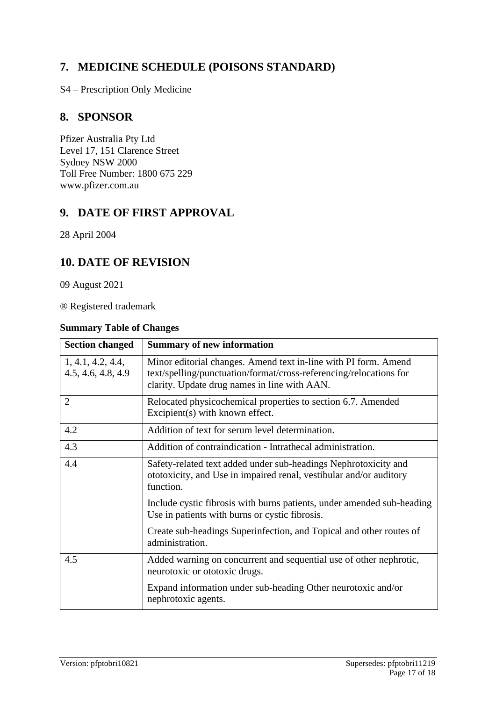## **7. MEDICINE SCHEDULE (POISONS STANDARD)**

S4 – Prescription Only Medicine

## **8. SPONSOR**

Pfizer Australia Pty Ltd Level 17, 151 Clarence Street Sydney NSW 2000 Toll Free Number: 1800 675 229 www.pfizer.com.au

## **9. DATE OF FIRST APPROVAL**

28 April 2004

## **10. DATE OF REVISION**

09 August 2021

® Registered trademark

#### **Summary Table of Changes**

| <b>Section changed</b>                  | <b>Summary of new information</b>                                                                                                                                                     |
|-----------------------------------------|---------------------------------------------------------------------------------------------------------------------------------------------------------------------------------------|
| 1, 4.1, 4.2, 4.4,<br>4.5, 4.6, 4.8, 4.9 | Minor editorial changes. Amend text in-line with PI form. Amend<br>text/spelling/punctuation/format/cross-referencing/relocations for<br>clarity. Update drug names in line with AAN. |
| $\overline{2}$                          | Relocated physicochemical properties to section 6.7. Amended<br>Excipient(s) with known effect.                                                                                       |
| 4.2                                     | Addition of text for serum level determination.                                                                                                                                       |
| 4.3                                     | Addition of contraindication - Intrathecal administration.                                                                                                                            |
| 4.4                                     | Safety-related text added under sub-headings Nephrotoxicity and<br>ototoxicity, and Use in impaired renal, vestibular and/or auditory<br>function.                                    |
|                                         | Include cystic fibrosis with burns patients, under amended sub-heading<br>Use in patients with burns or cystic fibrosis.                                                              |
|                                         | Create sub-headings Superinfection, and Topical and other routes of<br>administration.                                                                                                |
| 4.5                                     | Added warning on concurrent and sequential use of other nephrotic,<br>neurotoxic or ototoxic drugs.                                                                                   |
|                                         | Expand information under sub-heading Other neurotoxic and/or<br>nephrotoxic agents.                                                                                                   |